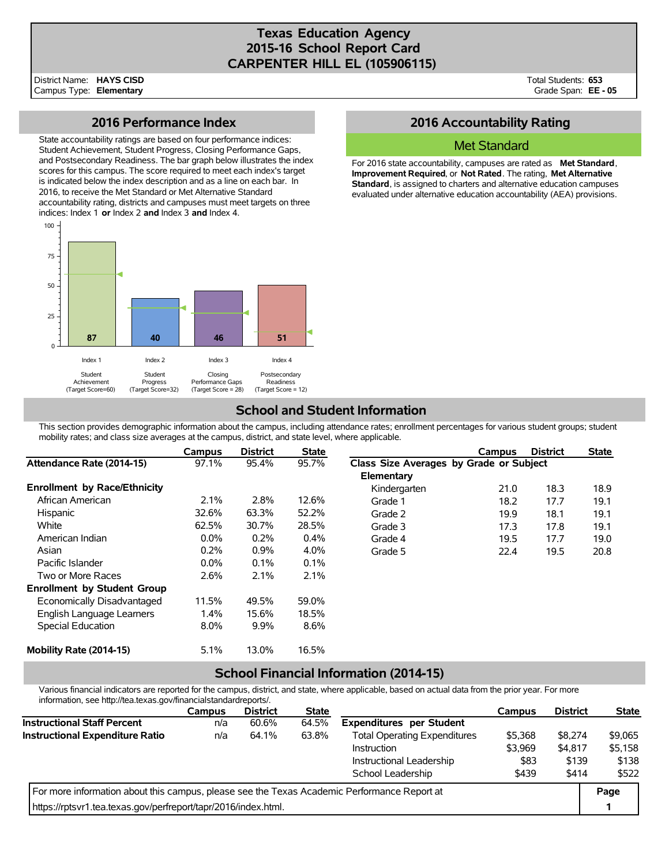## **Texas Education Agency 2015-16 School Report Card CARPENTER HILL EL (105906115)**

Total Students: **653** Grade Span: **EE - 05**

### **2016 Performance Index**

State accountability ratings are based on four performance indices: Student Achievement, Student Progress, Closing Performance Gaps, and Postsecondary Readiness. The bar graph below illustrates the index scores for this campus. The score required to meet each index's target is indicated below the index description and as a line on each bar. In 2016, to receive the Met Standard or Met Alternative Standard accountability rating, districts and campuses must meet targets on three indices: Index 1 **or** Index 2 **and** Index 3 **and** Index 4.



## **2016 Accountability Rating**

### Met Standard

For 2016 state accountability, campuses are rated as **Met Standard**, **Improvement Required**, or **Not Rated**. The rating, **Met Alternative Standard**, is assigned to charters and alternative education campuses evaluated under alternative education accountability (AEA) provisions.

# **School and Student Information**

This section provides demographic information about the campus, including attendance rates; enrollment percentages for various student groups; student mobility rates; and class size averages at the campus, district, and state level, where applicable.

|                                     | Campus  | <b>District</b> | <b>State</b> |                                         | Campus | <b>District</b> | <b>State</b> |  |
|-------------------------------------|---------|-----------------|--------------|-----------------------------------------|--------|-----------------|--------------|--|
| Attendance Rate (2014-15)           | 97.1%   | 95.4%           | 95.7%        | Class Size Averages by Grade or Subject |        |                 |              |  |
|                                     |         |                 |              | Elementary                              |        |                 |              |  |
| <b>Enrollment by Race/Ethnicity</b> |         |                 |              | Kindergarten                            | 21.0   | 18.3            | 18.9         |  |
| African American                    | 2.1%    | 2.8%            | 12.6%        | Grade 1                                 | 18.2   | 17.7            | 19.1         |  |
| <b>Hispanic</b>                     | 32.6%   | 63.3%           | 52.2%        | Grade 2                                 | 19.9   | 18.1            | 19.1         |  |
| White                               | 62.5%   | 30.7%           | 28.5%        | Grade 3                                 | 17.3   | 17.8            | 19.1         |  |
| American Indian                     | $0.0\%$ | 0.2%            | 0.4%         | Grade 4                                 | 19.5   | 17.7            | 19.0         |  |
| Asian                               | 0.2%    | $0.9\%$         | 4.0%         | Grade 5                                 | 22.4   | 19.5            | 20.8         |  |
| Pacific Islander                    | $0.0\%$ | 0.1%            | 0.1%         |                                         |        |                 |              |  |
| Two or More Races                   | 2.6%    | 2.1%            | 2.1%         |                                         |        |                 |              |  |
| <b>Enrollment by Student Group</b>  |         |                 |              |                                         |        |                 |              |  |
| Economically Disadvantaged          | 11.5%   | 49.5%           | 59.0%        |                                         |        |                 |              |  |
| English Language Learners           | 1.4%    | 15.6%           | 18.5%        |                                         |        |                 |              |  |
| Special Education                   | 8.0%    | $9.9\%$         | 8.6%         |                                         |        |                 |              |  |
| Mobility Rate (2014-15)             | 5.1%    | 13.0%           | 16.5%        |                                         |        |                 |              |  |

### **School Financial Information (2014-15)**

Various financial indicators are reported for the campus, district, and state, where applicable, based on actual data from the prior year. For more information, see http://tea.texas.gov/financialstandardreports/.

|                                                                                             | Campus | <b>District</b> | <b>State</b> |                                     | Campus  | <b>District</b> | <b>State</b> |
|---------------------------------------------------------------------------------------------|--------|-----------------|--------------|-------------------------------------|---------|-----------------|--------------|
| <b>Instructional Staff Percent</b>                                                          | n/a    | 60.6%           | 64.5%        | <b>Expenditures</b> per Student     |         |                 |              |
| <b>Instructional Expenditure Ratio</b>                                                      | n/a    | 64.1%           | 63.8%        | <b>Total Operating Expenditures</b> | \$5,368 | \$8,274         | \$9.065      |
|                                                                                             |        |                 |              | <b>Instruction</b>                  | \$3,969 | \$4,817         | \$5.158      |
|                                                                                             |        |                 |              | Instructional Leadership            | \$83    | \$139           | \$138        |
|                                                                                             |        |                 |              | School Leadership                   | \$439   | \$414           | \$522        |
| For more information about this campus, please see the Texas Academic Performance Report at |        |                 |              |                                     |         |                 | Page         |
| https://rptsvr1.tea.texas.gov/perfreport/tapr/2016/index.html.                              |        |                 |              |                                     |         |                 |              |